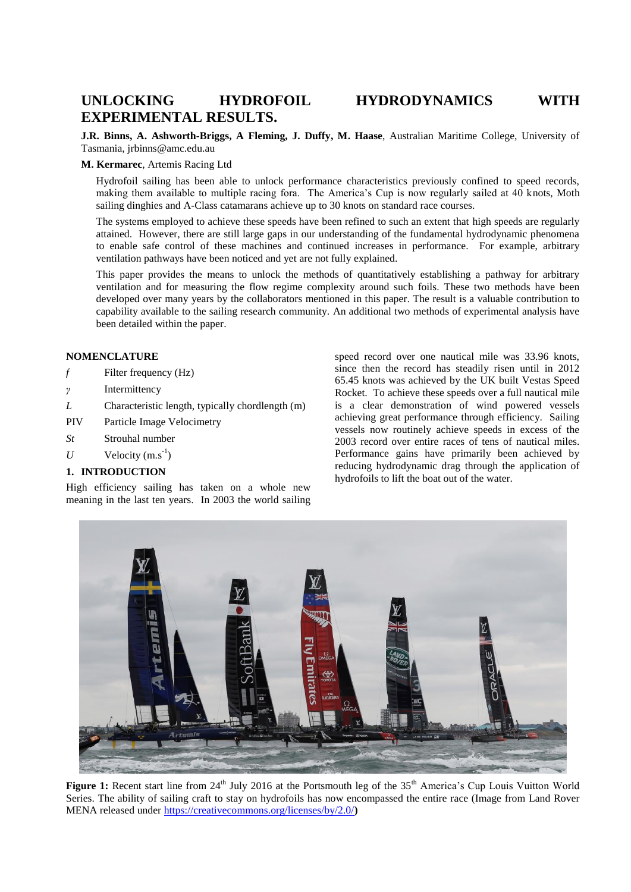# **UNLOCKING HYDROFOIL HYDRODYNAMICS WITH EXPERIMENTAL RESULTS.**

**J.R. Binns, A. Ashworth-Briggs, A Fleming, J. Duffy, M. Haase**, Australian Maritime College, University of Tasmania, jrbinns@amc.edu.au

## **M. Kermarec**, Artemis Racing Ltd

Hydrofoil sailing has been able to unlock performance characteristics previously confined to speed records, making them available to multiple racing fora. The America's Cup is now regularly sailed at 40 knots, Moth sailing dinghies and A-Class catamarans achieve up to 30 knots on standard race courses.

The systems employed to achieve these speeds have been refined to such an extent that high speeds are regularly attained. However, there are still large gaps in our understanding of the fundamental hydrodynamic phenomena to enable safe control of these machines and continued increases in performance. For example, arbitrary ventilation pathways have been noticed and yet are not fully explained.

This paper provides the means to unlock the methods of quantitatively establishing a pathway for arbitrary ventilation and for measuring the flow regime complexity around such foils. These two methods have been developed over many years by the collaborators mentioned in this paper. The result is a valuable contribution to capability available to the sailing research community. An additional two methods of experimental analysis have been detailed within the paper.

## **NOMENCLATURE**

- *f* Filter frequency (Hz)
- *γ* Intermittency
- *L* Characteristic length, typically chordlength (m)
- PIV Particle Image Velocimetry
- *St* Strouhal number
- $U$  Velocity  $(m.s<sup>-1</sup>)$

# **1. INTRODUCTION**

High efficiency sailing has taken on a whole new meaning in the last ten years. In 2003 the world sailing speed record over one nautical mile was 33.96 knots, since then the record has steadily risen until in 2012 65.45 knots was achieved by the UK built Vestas Speed Rocket. To achieve these speeds over a full nautical mile is a clear demonstration of wind powered vessels achieving great performance through efficiency. Sailing vessels now routinely achieve speeds in excess of the 2003 record over entire races of tens of nautical miles. Performance gains have primarily been achieved by reducing hydrodynamic drag through the application of hydrofoils to lift the boat out of the water.

<span id="page-0-0"></span>

Figure 1: Recent start line from 24<sup>th</sup> July 2016 at the Portsmouth leg of the 35<sup>th</sup> America's Cup Louis Vuitton World Series. The ability of sailing craft to stay on hydrofoils has now encompassed the entire race (Image from Land Rover MENA released under<https://creativecommons.org/licenses/by/2.0/>**)**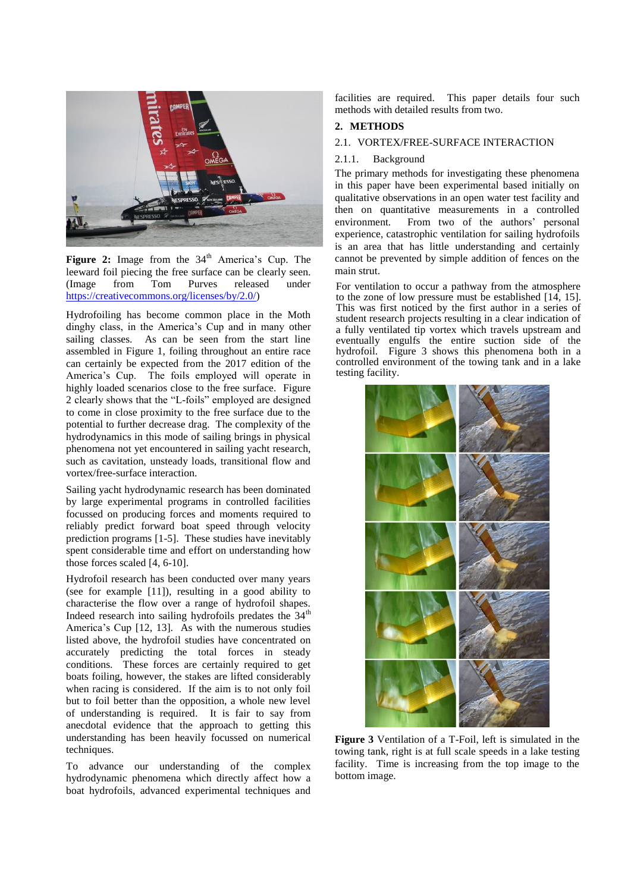

<span id="page-1-0"></span>Figure 2: Image from the 34<sup>th</sup> America's Cup. The leeward foil piecing the free surface can be clearly seen.<br>(Image from Tom Purves released under (Image from Tom Purves released under [https://creativecommons.org/licenses/by/2.0/\)](https://creativecommons.org/licenses/by/2.0/)

Hydrofoiling has become common place in the Moth dinghy class, in the America's Cup and in many other sailing classes. As can be seen from the start line assembled in [Figure 1,](#page-0-0) foiling throughout an entire race can certainly be expected from the 2017 edition of the America's Cup. The foils employed will operate in highly loaded scenarios close to the free surface. [Figure](#page-1-0)  [2](#page-1-0) clearly shows that the "L-foils" employed are designed to come in close proximity to the free surface due to the potential to further decrease drag. The complexity of the hydrodynamics in this mode of sailing brings in physical phenomena not yet encountered in sailing yacht research, such as cavitation, unsteady loads, transitional flow and vortex/free-surface interaction.

Sailing yacht hydrodynamic research has been dominated by large experimental programs in controlled facilities focussed on producing forces and moments required to reliably predict forward boat speed through velocity prediction programs [\[1-5\]](#page-4-0). These studies have inevitably spent considerable time and effort on understanding how those forces scaled [\[4,](#page-4-1) [6-10\]](#page-4-2).

Hydrofoil research has been conducted over many years (see for example [\[11\]](#page-5-0)), resulting in a good ability to characterise the flow over a range of hydrofoil shapes. Indeed research into sailing hydrofoils predates the  $34<sup>th</sup>$ America's Cup [\[12,](#page-5-1) [13\]](#page-5-2). As with the numerous studies listed above, the hydrofoil studies have concentrated on accurately predicting the total forces in steady conditions. These forces are certainly required to get boats foiling, however, the stakes are lifted considerably when racing is considered. If the aim is to not only foil but to foil better than the opposition, a whole new level of understanding is required. It is fair to say from anecdotal evidence that the approach to getting this understanding has been heavily focussed on numerical techniques.

<span id="page-1-1"></span>To advance our understanding of the complex hydrodynamic phenomena which directly affect how a boat hydrofoils, advanced experimental techniques and facilities are required. This paper details four such methods with detailed results from two.

# **2. METHODS**

### 2.1. VORTEX/FREE-SURFACE INTERACTION

#### 2.1.1. Background

The primary methods for investigating these phenomena in this paper have been experimental based initially on qualitative observations in an open water test facility and then on quantitative measurements in a controlled environment. From two of the authors' personal experience, catastrophic ventilation for sailing hydrofoils is an area that has little understanding and certainly cannot be prevented by simple addition of fences on the main strut.

For ventilation to occur a pathway from the atmosphere to the zone of low pressure must be established [\[14,](#page-5-3) [15\]](#page-5-4). This was first noticed by the first author in a series of student research projects resulting in a clear indication of a fully ventilated tip vortex which travels upstream and eventually engulfs the entire suction side of the hydrofoil. [Figure 3](#page-1-1) shows this phenomena both in a controlled environment of the towing tank and in a lake testing facility.



**Figure 3** Ventilation of a T-Foil, left is simulated in the towing tank, right is at full scale speeds in a lake testing facility. Time is increasing from the top image to the bottom image.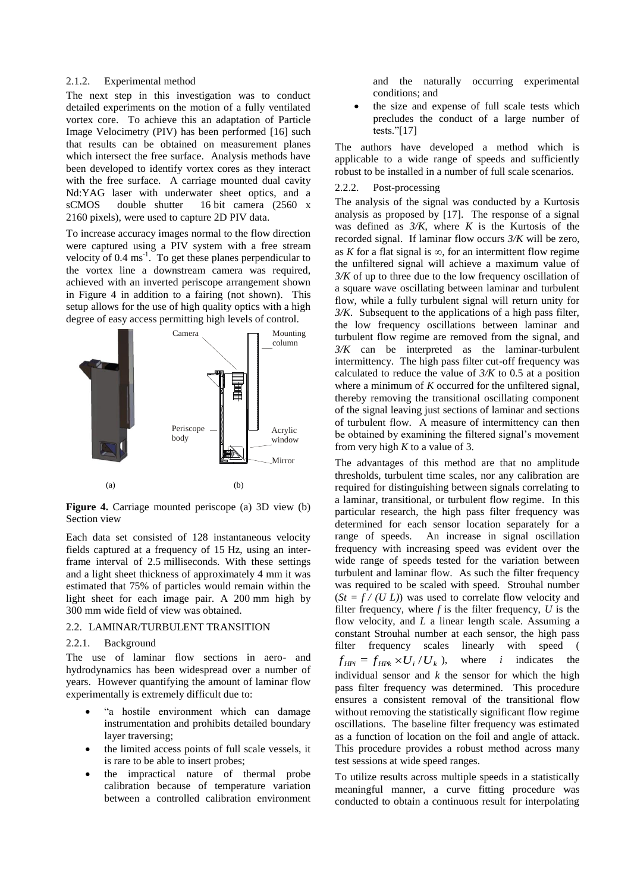#### 2.1.2. Experimental method

The next step in this investigation was to conduct detailed experiments on the motion of a fully ventilated vortex core. To achieve this an adaptation of Particle Image Velocimetry (PIV) has been performed [\[16\]](#page-5-5) such that results can be obtained on measurement planes which intersect the free surface. Analysis methods have been developed to identify vortex cores as they interact with the free surface. A carriage mounted dual cavity Nd:YAG laser with underwater sheet optics, and a sCMOS double shutter 16 bit camera (2560 x 2160 pixels), were used to capture 2D PIV data.

To increase accuracy images normal to the flow direction were captured using a PIV system with a free stream velocity of  $0.4 \text{ ms}^{-1}$ . To get these planes perpendicular to the vortex line a downstream camera was required, achieved with an inverted periscope arrangement shown in [Figure 4](#page-2-0) in addition to a fairing (not shown). This setup allows for the use of high quality optics with a high degree of easy access permitting high levels of control.



<span id="page-2-0"></span>**Figure 4.** Carriage mounted periscope (a) 3D view (b) Section view

Each data set consisted of 128 instantaneous velocity fields captured at a frequency of 15 Hz, using an interframe interval of 2.5 milliseconds. With these settings and a light sheet thickness of approximately 4 mm it was estimated that 75% of particles would remain within the light sheet for each image pair. A 200 mm high by 300 mm wide field of view was obtained.

### 2.2. LAMINAR/TURBULENT TRANSITION

# 2.2.1. Background

The use of laminar flow sections in aero- and hydrodynamics has been widespread over a number of years. However quantifying the amount of laminar flow experimentally is extremely difficult due to:

- "a hostile environment which can damage instrumentation and prohibits detailed boundary layer traversing;
- the limited access points of full scale vessels, it is rare to be able to insert probes;
- the impractical nature of thermal probe calibration because of temperature variation between a controlled calibration environment

and the naturally occurring experimental conditions; and

 the size and expense of full scale tests which precludes the conduct of a large number of tests."[\[17\]](#page-5-6)

The authors have developed a method which is applicable to a wide range of speeds and sufficiently robust to be installed in a number of full scale scenarios.

## 2.2.2. Post-processing

The analysis of the signal was conducted by a Kurtosis analysis as proposed by [\[17\]](#page-5-6). The response of a signal was defined as  $3/K$ , where K is the Kurtosis of the recorded signal. If laminar flow occurs *3/K* will be zero, as *K* for a flat signal is  $\infty$ , for an intermittent flow regime the unfiltered signal will achieve a maximum value of *3/K* of up to three due to the low frequency oscillation of a square wave oscillating between laminar and turbulent flow, while a fully turbulent signal will return unity for *3/K*. Subsequent to the applications of a high pass filter, the low frequency oscillations between laminar and turbulent flow regime are removed from the signal, and *3/K* can be interpreted as the laminar-turbulent intermittency. The high pass filter cut-off frequency was calculated to reduce the value of  $3/K$  to 0.5 at a position where a minimum of *K* occurred for the unfiltered signal, thereby removing the transitional oscillating component of the signal leaving just sections of laminar and sections of turbulent flow. A measure of intermittency can then be obtained by examining the filtered signal's movement from very high *K* to a value of 3.

The advantages of this method are that no amplitude thresholds, turbulent time scales, nor any calibration are required for distinguishing between signals correlating to a laminar, transitional, or turbulent flow regime. In this particular research, the high pass filter frequency was determined for each sensor location separately for a range of speeds. An increase in signal oscillation frequency with increasing speed was evident over the wide range of speeds tested for the variation between turbulent and laminar flow. As such the filter frequency was required to be scaled with speed. Strouhal number  $(St = f / (U L))$  was used to correlate flow velocity and filter frequency, where *f* is the filter frequency, *U* is the flow velocity, and *L* a linear length scale. Assuming a constant Strouhal number at each sensor, the high pass filter frequency scales linearly with speed (  $f_{\text{HPi}} = f_{\text{HPk}} \times U_i / U_k$ where  $i$  indicates the individual sensor and *k* the sensor for which the high pass filter frequency was determined. This procedure ensures a consistent removal of the transitional flow without removing the statistically significant flow regime oscillations. The baseline filter frequency was estimated as a function of location on the foil and angle of attack. This procedure provides a robust method across many test sessions at wide speed ranges.

To utilize results across multiple speeds in a statistically meaningful manner, a curve fitting procedure was conducted to obtain a continuous result for interpolating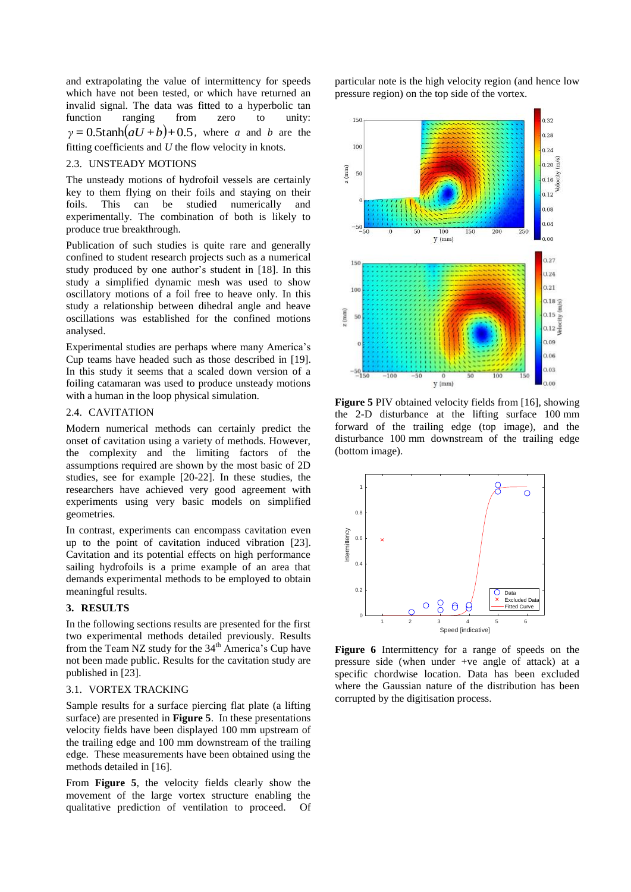and extrapolating the value of intermittency for speeds which have not been tested, or which have returned an invalid signal. The data was fitted to a hyperbolic tan function ranging from zero to unity:  $\gamma = 0.5 \tanh(aU + b) + 0.5$ , where *a* and *b* are the fitting coefficients and *U* the flow velocity in knots.

## 2.3. UNSTEADY MOTIONS

The unsteady motions of hydrofoil vessels are certainly key to them flying on their foils and staying on their foils. This can be studied numerically and experimentally. The combination of both is likely to produce true breakthrough.

Publication of such studies is quite rare and generally confined to student research projects such as a numerical study produced by one author's student in [\[18\]](#page-5-7). In this study a simplified dynamic mesh was used to show oscillatory motions of a foil free to heave only. In this study a relationship between dihedral angle and heave oscillations was established for the confined motions analysed.

Experimental studies are perhaps where many America's Cup teams have headed such as those described in [\[19\]](#page-5-8). In this study it seems that a scaled down version of a foiling catamaran was used to produce unsteady motions with a human in the loop physical simulation.

#### 2.4. CAVITATION

Modern numerical methods can certainly predict the onset of cavitation using a variety of methods. However, the complexity and the limiting factors of the assumptions required are shown by the most basic of 2D studies, see for example [\[20-22\]](#page-5-9). In these studies, the researchers have achieved very good agreement with experiments using very basic models on simplified geometries.

In contrast, experiments can encompass cavitation even up to the point of cavitation induced vibration [\[23\]](#page-5-10). Cavitation and its potential effects on high performance sailing hydrofoils is a prime example of an area that demands experimental methods to be employed to obtain meaningful results.

# **3. RESULTS**

In the following sections results are presented for the first two experimental methods detailed previously. Results from the Team NZ study for the  $34<sup>th</sup>$  America's Cup have not been made public. Results for the cavitation study are published in [\[23\]](#page-5-10).

#### 3.1. VORTEX TRACKING

Sample results for a surface piercing flat plate (a lifting surface) are presented in **[Figure 5](#page-3-0)**. In these presentations velocity fields have been displayed 100 mm upstream of the trailing edge and 100 mm downstream of the trailing edge. These measurements have been obtained using the methods detailed in [\[16\]](#page-5-5).

From **[Figure 5](#page-3-0)**, the velocity fields clearly show the movement of the large vortex structure enabling the qualitative prediction of ventilation to proceed. Of particular note is the high velocity region (and hence low pressure region) on the top side of the vortex.



<span id="page-3-0"></span>**Figure 5** PIV obtained velocity fields from [\[16\]](#page-5-5), showing the 2-D disturbance at the lifting surface 100 mm forward of the trailing edge (top image), and the disturbance 100 mm downstream of the trailing edge (bottom image).



<span id="page-3-1"></span>**Figure 6** Intermittency for a range of speeds on the pressure side (when under +ve angle of attack) at a specific chordwise location. Data has been excluded where the Gaussian nature of the distribution has been corrupted by the digitisation process.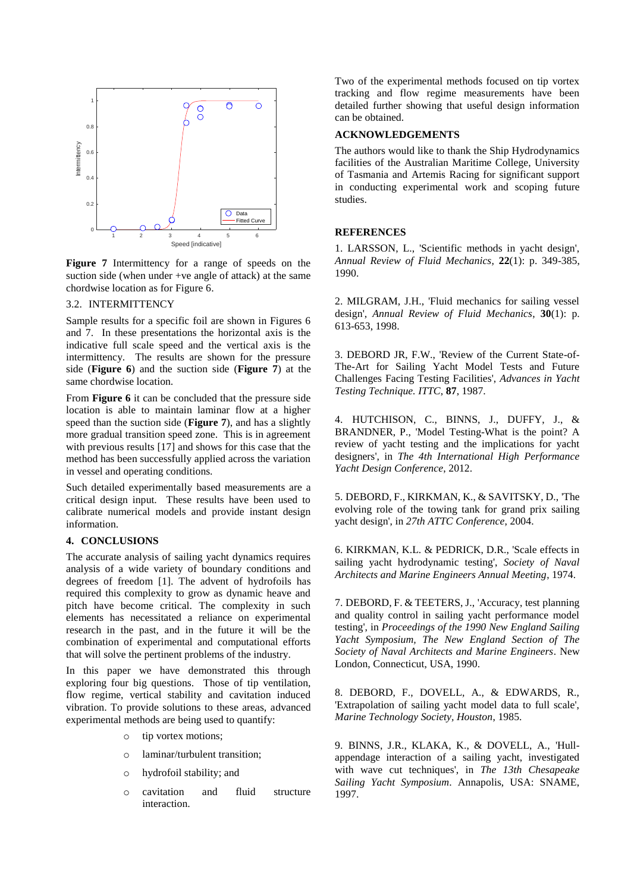

<span id="page-4-3"></span>**Figure 7** Intermittency for a range of speeds on the suction side (when under +ve angle of attack) at the same chordwise location as for Figure 6.

### 3.2. INTERMITTENCY

Sample results for a specific foil are shown in Figures 6 and 7. In these presentations the horizontal axis is the indicative full scale speed and the vertical axis is the intermittency. The results are shown for the pressure side (**[Figure 6](#page-3-1)**) and the suction side (**[Figure 7](#page-4-3)**) at the same chordwise location.

From **[Figure 6](#page-3-1)** it can be concluded that the pressure side location is able to maintain laminar flow at a higher speed than the suction side (**[Figure 7](#page-4-3)**), and has a slightly more gradual transition speed zone. This is in agreement with previous results [\[17\]](#page-5-6) and shows for this case that the method has been successfully applied across the variation in vessel and operating conditions.

Such detailed experimentally based measurements are a critical design input. These results have been used to calibrate numerical models and provide instant design information.

## **4. CONCLUSIONS**

The accurate analysis of sailing yacht dynamics requires analysis of a wide variety of boundary conditions and degrees of freedom [\[1\]](#page-4-0). The advent of hydrofoils has required this complexity to grow as dynamic heave and pitch have become critical. The complexity in such elements has necessitated a reliance on experimental research in the past, and in the future it will be the combination of experimental and computational efforts that will solve the pertinent problems of the industry.

In this paper we have demonstrated this through exploring four big questions. Those of tip ventilation, flow regime, vertical stability and cavitation induced vibration. To provide solutions to these areas, advanced experimental methods are being used to quantify:

- o tip vortex motions;
- o laminar/turbulent transition;
- o hydrofoil stability; and
- o cavitation and fluid structure interaction.

Two of the experimental methods focused on tip vortex tracking and flow regime measurements have been detailed further showing that useful design information can be obtained.

## **ACKNOWLEDGEMENTS**

The authors would like to thank the Ship Hydrodynamics facilities of the Australian Maritime College, University of Tasmania and Artemis Racing for significant support in conducting experimental work and scoping future studies.

#### **REFERENCES**

<span id="page-4-0"></span>1. LARSSON, L., 'Scientific methods in yacht design', *Annual Review of Fluid Mechanics*, **22**(1): p. 349-385, 1990.

2. MILGRAM, J.H., 'Fluid mechanics for sailing vessel design', *Annual Review of Fluid Mechanics*, **30**(1): p. 613-653, 1998.

3. DEBORD JR, F.W., 'Review of the Current State-of-The-Art for Sailing Yacht Model Tests and Future Challenges Facing Testing Facilities', *Advances in Yacht Testing Technique. ITTC*, **87**, 1987.

<span id="page-4-1"></span>4. HUTCHISON, C., BINNS, J., DUFFY, J., & BRANDNER, P., 'Model Testing-What is the point? A review of yacht testing and the implications for yacht designers', in *The 4th International High Performance Yacht Design Conference*, 2012.

5. DEBORD, F., KIRKMAN, K., & SAVITSKY, D., 'The evolving role of the towing tank for grand prix sailing yacht design', in *27th ATTC Conference*, 2004.

<span id="page-4-2"></span>6. KIRKMAN, K.L. & PEDRICK, D.R., 'Scale effects in sailing yacht hydrodynamic testing', *Society of Naval Architects and Marine Engineers Annual Meeting*, 1974.

7. DEBORD, F. & TEETERS, J., 'Accuracy, test planning and quality control in sailing yacht performance model testing', in *Proceedings of the 1990 New England Sailing Yacht Symposium, The New England Section of The Society of Naval Architects and Marine Engineers*. New London, Connecticut, USA, 1990.

8. DEBORD, F., DOVELL, A., & EDWARDS, R., 'Extrapolation of sailing yacht model data to full scale', *Marine Technology Society, Houston*, 1985.

9. BINNS, J.R., KLAKA, K., & DOVELL, A., 'Hullappendage interaction of a sailing yacht, investigated with wave cut techniques', in *The 13th Chesapeake Sailing Yacht Symposium*. Annapolis, USA: SNAME, 1997.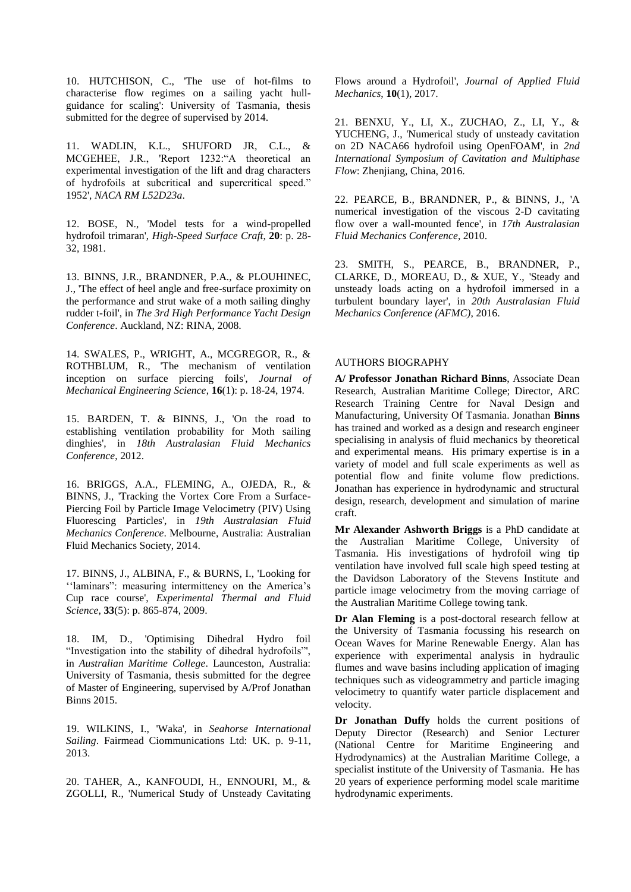10. HUTCHISON, C., 'The use of hot-films to characterise flow regimes on a sailing yacht hullguidance for scaling': University of Tasmania, thesis submitted for the degree of supervised by 2014.

<span id="page-5-0"></span>11. WADLIN, K.L., SHUFORD JR, C.L., & MCGEHEE, J.R., 'Report 1232:"A theoretical an experimental investigation of the lift and drag characters of hydrofoils at subcritical and supercritical speed." 1952', *NACA RM L52D23a*.

<span id="page-5-1"></span>12. BOSE, N., 'Model tests for a wind-propelled hydrofoil trimaran', *High-Speed Surface Craft*, **20**: p. 28- 32, 1981.

<span id="page-5-2"></span>13. BINNS, J.R., BRANDNER, P.A., & PLOUHINEC, J., 'The effect of heel angle and free-surface proximity on the performance and strut wake of a moth sailing dinghy rudder t-foil', in *The 3rd High Performance Yacht Design Conference*. Auckland, NZ: RINA, 2008.

<span id="page-5-3"></span>14. SWALES, P., WRIGHT, A., MCGREGOR, R., & ROTHBLUM, R., 'The mechanism of ventilation inception on surface piercing foils', *Journal of Mechanical Engineering Science*, **16**(1): p. 18-24, 1974.

<span id="page-5-4"></span>15. BARDEN, T. & BINNS, J., 'On the road to establishing ventilation probability for Moth sailing dinghies', in *18th Australasian Fluid Mechanics Conference*, 2012.

<span id="page-5-5"></span>16. BRIGGS, A.A., FLEMING, A., OJEDA, R., & BINNS, J., 'Tracking the Vortex Core From a Surface-Piercing Foil by Particle Image Velocimetry (PIV) Using Fluorescing Particles', in *19th Australasian Fluid Mechanics Conference*. Melbourne, Australia: Australian Fluid Mechanics Society, 2014.

<span id="page-5-6"></span>17. BINNS, J., ALBINA, F., & BURNS, I., 'Looking for ''laminars": measuring intermittency on the America's Cup race course', *Experimental Thermal and Fluid Science*, **33**(5): p. 865-874, 2009.

<span id="page-5-7"></span>18. IM, D., 'Optimising Dihedral Hydro foil "Investigation into the stability of dihedral hydrofoils"', in *Australian Maritime College*. Launceston, Australia: University of Tasmania, thesis submitted for the degree of Master of Engineering, supervised by A/Prof Jonathan Binns 2015.

<span id="page-5-8"></span>19. WILKINS, I., 'Waka', in *Seahorse International Sailing*. Fairmead Ciommunications Ltd: UK. p. 9-11, 2013.

<span id="page-5-9"></span>20. TAHER, A., KANFOUDI, H., ENNOURI, M., & ZGOLLI, R., 'Numerical Study of Unsteady Cavitating Flows around a Hydrofoil', *Journal of Applied Fluid Mechanics*, **10**(1), 2017.

21. BENXU, Y., LI, X., ZUCHAO, Z., LI, Y., & YUCHENG, J., 'Numerical study of unsteady cavitation on 2D NACA66 hydrofoil using OpenFOAM', in *2nd International Symposium of Cavitation and Multiphase Flow*: Zhenjiang, China, 2016.

22. PEARCE, B., BRANDNER, P., & BINNS, J., 'A numerical investigation of the viscous 2-D cavitating flow over a wall-mounted fence', in *17th Australasian Fluid Mechanics Conference*, 2010.

<span id="page-5-10"></span>23. SMITH, S., PEARCE, B., BRANDNER, P., CLARKE, D., MOREAU, D., & XUE, Y., 'Steady and unsteady loads acting on a hydrofoil immersed in a turbulent boundary layer', in *20th Australasian Fluid Mechanics Conference (AFMC)*, 2016.

## AUTHORS BIOGRAPHY

**A/ Professor Jonathan Richard Binns**, Associate Dean Research, Australian Maritime College; Director, ARC Research Training Centre for Naval Design and Manufacturing, University Of Tasmania. Jonathan **Binns** has trained and worked as a design and research engineer specialising in analysis of fluid mechanics by theoretical and experimental means. His primary expertise is in a variety of model and full scale experiments as well as potential flow and finite volume flow predictions. Jonathan has experience in hydrodynamic and structural design, research, development and simulation of marine craft.

**Mr Alexander Ashworth Briggs** is a PhD candidate at the Australian Maritime College, University of Tasmania. His investigations of hydrofoil wing tip ventilation have involved full scale high speed testing at the Davidson Laboratory of the Stevens Institute and particle image velocimetry from the moving carriage of the Australian Maritime College towing tank.

**Dr Alan Fleming** is a post-doctoral research fellow at the University of Tasmania focussing his research on Ocean Waves for Marine Renewable Energy. Alan has experience with experimental analysis in hydraulic flumes and wave basins including application of imaging techniques such as videogrammetry and particle imaging velocimetry to quantify water particle displacement and velocity.

**Dr Jonathan Duffy** holds the current positions of Deputy Director (Research) and Senior Lecturer (National Centre for Maritime Engineering and Hydrodynamics) at the Australian Maritime College, a specialist institute of the University of Tasmania. He has 20 years of experience performing model scale maritime hydrodynamic experiments.